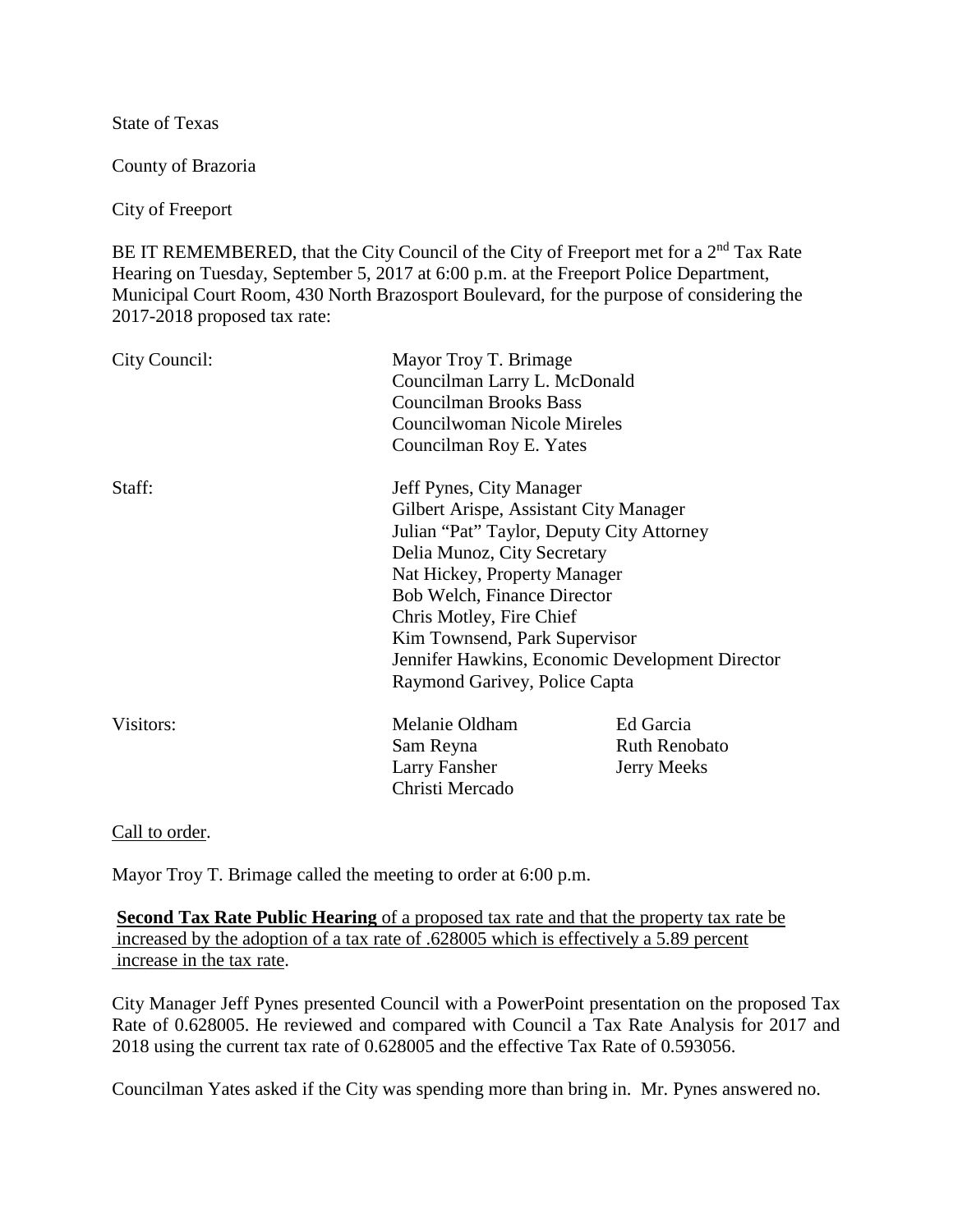State of Texas

County of Brazoria

City of Freeport

BE IT REMEMBERED, that the City Council of the City of Freeport met for a 2<sup>nd</sup> Tax Rate Hearing on Tuesday, September 5, 2017 at 6:00 p.m. at the Freeport Police Department, Municipal Court Room, 430 North Brazosport Boulevard, for the purpose of considering the 2017-2018 proposed tax rate:

| City Council: | Mayor Troy T. Brimage<br>Councilman Larry L. McDonald<br><b>Councilman Brooks Bass</b><br>Councilwoman Nicole Mireles<br>Councilman Roy E. Yates                                                                                                                                                                   |                                                         |
|---------------|--------------------------------------------------------------------------------------------------------------------------------------------------------------------------------------------------------------------------------------------------------------------------------------------------------------------|---------------------------------------------------------|
| Staff:        | Jeff Pynes, City Manager<br>Gilbert Arispe, Assistant City Manager<br>Julian "Pat" Taylor, Deputy City Attorney<br>Delia Munoz, City Secretary<br>Nat Hickey, Property Manager<br><b>Bob Welch, Finance Director</b><br>Chris Motley, Fire Chief<br>Kim Townsend, Park Supervisor<br>Raymond Garivey, Police Capta | Jennifer Hawkins, Economic Development Director         |
| Visitors:     | Melanie Oldham<br>Sam Reyna<br>Larry Fansher<br>Christi Mercado                                                                                                                                                                                                                                                    | Ed Garcia<br><b>Ruth Renobato</b><br><b>Jerry Meeks</b> |

Call to order.

Mayor Troy T. Brimage called the meeting to order at 6:00 p.m.

**Second Tax Rate Public Hearing** of a proposed tax rate and that the property tax rate be increased by the adoption of a tax rate of .628005 which is effectively a 5.89 percent increase in the tax rate.

City Manager Jeff Pynes presented Council with a PowerPoint presentation on the proposed Tax Rate of 0.628005. He reviewed and compared with Council a Tax Rate Analysis for 2017 and 2018 using the current tax rate of 0.628005 and the effective Tax Rate of 0.593056.

Councilman Yates asked if the City was spending more than bring in. Mr. Pynes answered no.